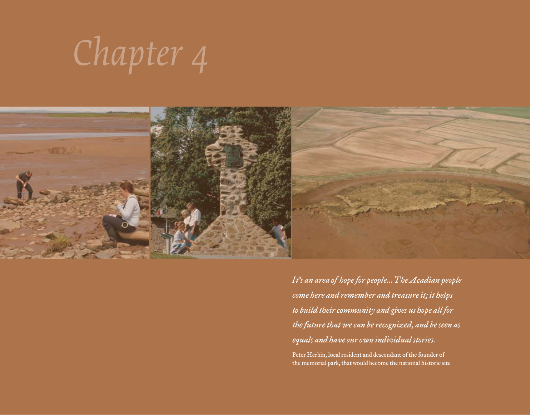# *Chapter 4*



*It's an area of hope for people... The Acadian people come here and remember and treasure it; it helps to build their community and gives us hope all for the future that we can be recognized, and be seen as equals and have our own individual stories.* 

Peter Herbin, local resident and descendant of the founder of the memorial park, that would become the national historic site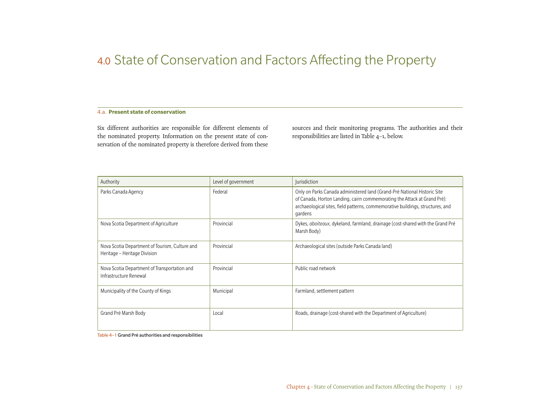# 4.0 State of Conservation and Factors Affecting the Property

## 4.a. **Present state of conservation**

Six different authorities are responsible for different elements of the nominated property. Information on the present state of conservation of the nominated property is therefore derived from these

sources and their monitoring programs. The authorities and their responsibilities are listed in Table 4–1, below.

| Authority                                                                      | Level of government | <i>lurisdiction</i>                                                                                                                                                                                                                               |
|--------------------------------------------------------------------------------|---------------------|---------------------------------------------------------------------------------------------------------------------------------------------------------------------------------------------------------------------------------------------------|
| Parks Canada Agency                                                            | Federal             | Only on Parks Canada administered land (Grand-Pré National Historic Site<br>of Canada, Horton Landing, cairn commemorating the Attack at Grand Pré):<br>archaeological sites, field patterns, commemorative buildings, structures, and<br>gardens |
| Nova Scotia Department of Agriculture                                          | Provincial          | Dykes, aboiteaux, dykeland, farmland, drainage (cost-shared with the Grand Pré<br>Marsh Body)                                                                                                                                                     |
| Nova Scotia Department of Tourism, Culture and<br>Heritage - Heritage Division | Provincial          | Archaeological sites (outside Parks Canada land)                                                                                                                                                                                                  |
| Nova Scotia Department of Transportation and<br>Infrastructure Renewal         | Provincial          | Public road network                                                                                                                                                                                                                               |
| Municipality of the County of Kings                                            | Municipal           | Farmland, settlement pattern                                                                                                                                                                                                                      |
| Grand Pré Marsh Body                                                           | Local               | Roads, drainage (cost-shared with the Department of Agriculture)                                                                                                                                                                                  |

Table 4–1 Grand Pré authorities and responsibilities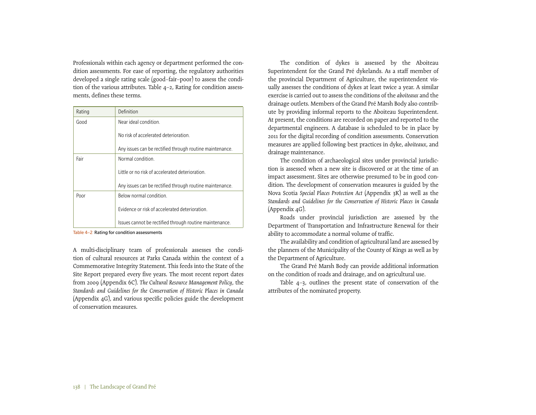Professionals within each agency or department performed the condition assessments. For ease of reporting, the regulatory authorities developed a single rating scale (good–fair–poor) to assess the condition of the various attributes. Table 4–2, Rating for condition assessments, defines these terms.

| Rating | Definition                                               |
|--------|----------------------------------------------------------|
| Good   | Near ideal condition.                                    |
|        | No risk of accelerated deterioration                     |
|        | Any issues can be rectified through routine maintenance. |
| Fair   | Normal condition                                         |
|        | Little or no risk of accelerated deterioration           |
|        | Any issues can be rectified through routine maintenance. |
| Poor   | Below normal condition.                                  |
|        | Evidence or risk of accelerated deterioration            |
|        | Issues cannot be rectified through routine maintenance.  |

Table 4-2 Rating for condition assessments

A multi-disciplinary team of professionals assesses the condition of cultural resources at Parks Canada within the context of a Commemorative Integrity Statement. This feeds into the State of the Site Report prepared every five years. The most recent report dates from 2009 (Appendix 6C). *The Cultural Resource Management Policy*, the *Standards and Guidelines for the Conservation of Historic Places in Canada* (Appendix 4G), and various specific policies guide the development of conservation measures.

The condition of dykes is assessed by the Aboiteau Superintendent for the Grand Pré dykelands. As a staff member of the provincial Department of Agriculture, the superintendent visually assesses the conditions of dykes at least twice a year. A similar exercise is carried out to assess the conditions of the *aboiteaux* and the drainage outlets. Members of the Grand Pré Marsh Body also contribute by providing informal reports to the Aboiteau Superintendent. At present, the conditions are recorded on paper and reported to the departmental engineers. A database is scheduled to be in place by 2011 for the digital recording of condition assessments. Conservation measures are applied following best practices in dyke, *aboiteaux*, and drainage maintenance.

The condition of archaeological sites under provincial jurisdiction is assessed when a new site is discovered or at the time of an impact assessment. Sites are otherwise presumed to be in good condition. The development of conservation measures is guided by the Nova Scotia *Special Places Protection Act* (Appendix 3K) as well as the *Standards and Guidelines for the Conservation of Historic Places in Canada* (Appendix 4G).

Roads under provincial jurisdiction are assessed by the Department of Transportation and Infrastructure Renewal for their ability to accommodate a normal volume of traffic.

The availability and condition of agricultural land are assessed by the planners of the Municipality of the County of Kings as well as by the Department of Agriculture.

The Grand Pré Marsh Body can provide additional information on the condition of roads and drainage, and on agricultural use.

Table 4–3, outlines the present state of conservation of the attributes of the nominated property.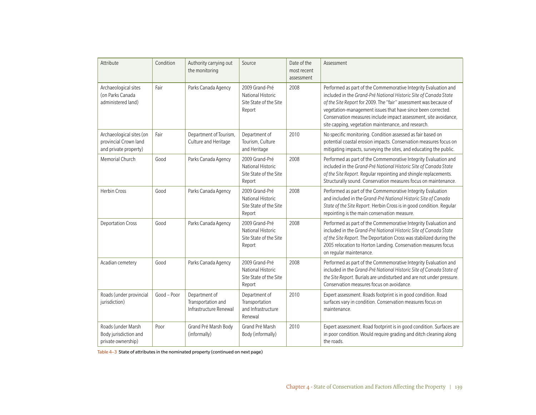| Attribute                                                                  | Condition   | Authority carrying out<br>the monitoring                      | Source                                                                         | Date of the<br>most recent<br>assessment | Assessment                                                                                                                                                                                                                                                                                                                                                                                          |
|----------------------------------------------------------------------------|-------------|---------------------------------------------------------------|--------------------------------------------------------------------------------|------------------------------------------|-----------------------------------------------------------------------------------------------------------------------------------------------------------------------------------------------------------------------------------------------------------------------------------------------------------------------------------------------------------------------------------------------------|
| Archaeological sites<br>(on Parks Canada<br>administered land)             | Fair        | Parks Canada Agency                                           | 2009 Grand-Pré<br>National Historic<br>Site State of the Site<br>Report        | 2008                                     | Performed as part of the Commemorative Integrity Evaluation and<br>included in the Grand-Pré National Historic Site of Canada State<br>of the Site Report for 2009. The "fair" assessment was because of<br>vegetation-management issues that have since been corrected.<br>Conservation measures include impact assessment, site avoidance,<br>site capping, vegetation maintenance, and research. |
| Archaeological sites (on<br>provincial Crown land<br>and private property) | Fair        | Department of Tourism,<br>Culture and Heritage                | Department of<br>Tourism, Culture<br>and Heritage                              | 2010                                     | No specific monitoring. Condition assessed as fair based on<br>potential coastal erosion impacts. Conservation measures focus on<br>mitigating impacts, surveying the sites, and educating the public.                                                                                                                                                                                              |
| Memorial Church                                                            | Good        | Parks Canada Agency                                           | 2009 Grand-Pré<br><b>National Historic</b><br>Site State of the Site<br>Report | 2008                                     | Performed as part of the Commemorative Integrity Evaluation and<br>included in the Grand-Pré National Historic Site of Canada State<br>of the Site Report. Regular repointing and shingle replacements.<br>Structurally sound. Conservation measures focus on maintenance.                                                                                                                          |
| <b>Herbin Cross</b>                                                        | Good        | Parks Canada Agency                                           | 2009 Grand-Pré<br>National Historic<br>Site State of the Site<br>Report        | 2008                                     | Performed as part of the Commemorative Integrity Evaluation<br>and included in the Grand-Pré National Historic Site of Canada<br>State of the Site Report. Herbin Cross is in good condition. Regular<br>repointing is the main conservation measure.                                                                                                                                               |
| <b>Deportation Cross</b>                                                   | Good        | Parks Canada Agency                                           | 2009 Grand-Pré<br><b>National Historic</b><br>Site State of the Site<br>Report | 2008                                     | Performed as part of the Commemorative Integrity Evaluation and<br>included in the Grand-Pré National Historic Site of Canada State<br>of the Site Report. The Deportation Cross was stabilized during the<br>2005 relocation to Horton Landing. Conservation measures focus<br>on regular maintenance.                                                                                             |
| Acadian cemetery                                                           | Good        | Parks Canada Agency                                           | 2009 Grand-Pré<br>National Historic<br>Site State of the Site<br>Report        | 2008                                     | Performed as part of the Commemorative Integrity Evaluation and<br>included in the Grand-Pré National Historic Site of Canada State of<br>the Site Report. Burials are undisturbed and are not under pressure.<br>Conservation measures focus on avoidance.                                                                                                                                         |
| Roads (under provincial<br>jurisdiction)                                   | Good - Poor | Department of<br>Transportation and<br>Infrastructure Renewal | Department of<br>Transportation<br>and Infrastructure<br>Renewal               | 2010                                     | Expert assessment. Roads footprint is in good condition. Road<br>surfaces vary in condition. Conservation measures focus on<br>maintenance.                                                                                                                                                                                                                                                         |
| Roads (under Marsh<br>Body jurisdiction and<br>private ownership)          | Poor        | Grand Pré Marsh Body<br>(informally)                          | Grand Pré Marsh<br>Body (informally)                                           | 2010                                     | Expert assessment. Road footprint is in good condition. Surfaces are<br>in poor condition. Would require grading and ditch cleaning along<br>the roads.                                                                                                                                                                                                                                             |

Table 4–3 State of attributes in the nominated property (continued on next page)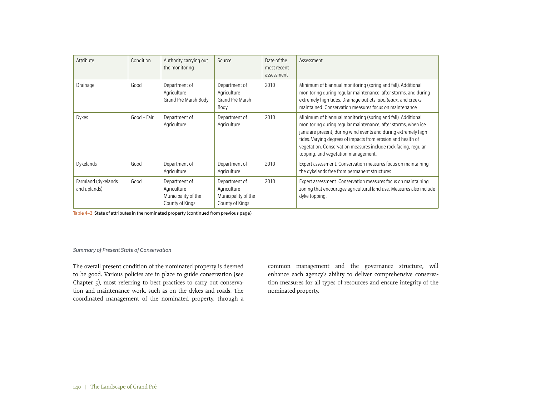| Attribute                           | Condition   | Authority carrying out<br>the monitoring                               | Source                                                                 | Date of the<br>most recent<br>assessment | Assessment                                                                                                                                                                                                                                                                                                                                                               |
|-------------------------------------|-------------|------------------------------------------------------------------------|------------------------------------------------------------------------|------------------------------------------|--------------------------------------------------------------------------------------------------------------------------------------------------------------------------------------------------------------------------------------------------------------------------------------------------------------------------------------------------------------------------|
| Drainage                            | Good        | Department of<br>Agriculture<br>Grand Pré Marsh Body                   | Department of<br>Agriculture<br>Grand Pré Marsh<br>Body                | 2010                                     | Minimum of biannual monitoring (spring and fall). Additional<br>monitoring during regular maintenance, after storms, and during<br>extremely high tides. Drainage outlets, aboiteaux, and creeks<br>maintained. Conservation measures focus on maintenance.                                                                                                              |
| Dykes                               | Good - Fair | Department of<br>Agriculture                                           | Department of<br>Agriculture                                           | 2010                                     | Minimum of biannual monitoring (spring and fall). Additional<br>monitoring during regular maintenance, after storms, when ice<br>jams are present, during wind events and during extremely high<br>tides. Varying degrees of impacts from erosion and health of<br>vegetation. Conservation measures include rock facing, regular<br>topping, and vegetation management. |
| Dykelands                           | Good        | Department of<br>Agriculture                                           | Department of<br>Agriculture                                           | 2010                                     | Expert assessment. Conservation measures focus on maintaining<br>the dykelands free from permanent structures.                                                                                                                                                                                                                                                           |
| Farmland (dykelands<br>and uplands) | Good        | Department of<br>Agriculture<br>Municipality of the<br>County of Kings | Department of<br>Agriculture<br>Municipality of the<br>County of Kings | 2010                                     | Expert assessment. Conservation measures focus on maintaining<br>zoning that encourages agricultural land use. Measures also include<br>dyke topping.                                                                                                                                                                                                                    |

Table 4–3 State of attributes in the nominated property (continued from previous page)

# *Summary of Present State of Conservation*

The overall present condition of the nominated property is deemed to be good. Various policies are in place to guide conservation (see Chapter 5), most referring to best practices to carry out conservation and maintenance work, such as on the dykes and roads. The coordinated management of the nominated property, through a common management and the governance structure, will enhance each agency's ability to deliver comprehensive conservation measures for all types of resources and ensure integrity of the nominated property.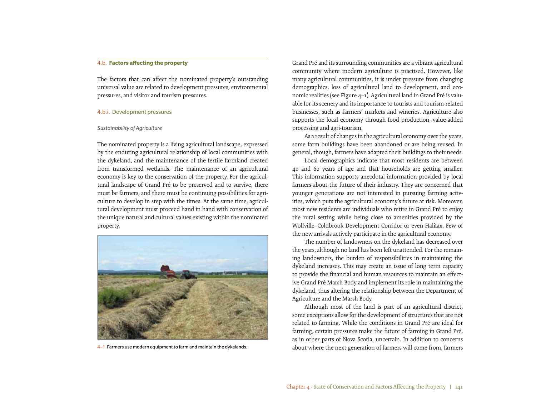#### 4.b. **Factors affecting the property**

The factors that can affect the nominated property's outstanding universal value are related to development pressures, environmental pressures, and visitor and tourism pressures.

#### 4.b.i. Development pressures

#### *Sustainability of Agriculture*

The nominated property is a living agricultural landscape, expressed by the enduring agricultural relationship of local communities with the dykeland, and the maintenance of the fertile farmland created from transformed wetlands. The maintenance of an agricultural economy is key to the conservation of the property. For the agricultural landscape of Grand Pré to be preserved and to survive, there must be farmers, and there must be continuing possibilities for agriculture to develop in step with the times. At the same time, agricultural development must proceed hand in hand with conservation of the unique natural and cultural values existing within the nominated property.



 $4-1$  Farmers use modern equipment to farm and maintain the dykelands.

Grand Pré and its surrounding communities are a vibrant agricultural community where modern agriculture is practised. However, like many agricultural communities, it is under pressure from changing demographics, loss of agricultural land to development, and economic realities (see Figure 4–1). Agricultural land in Grand Pré is valuable for its scenery and its importance to tourists and tourism-related businesses, such as farmers' markets and wineries. Agriculture also supports the local economy through food production, value-added processing and agri-tourism.

As a result of changes in the agricultural economy over the years, some farm buildings have been abandoned or are being reused. In general, though, farmers have adapted their buildings to their needs.

Local demographics indicate that most residents are between 40 and 60 years of age and that households are getting smaller. This information supports anecdotal information provided by local farmers about the future of their industry. They are concerned that younger generations are not interested in pursuing farming activities, which puts the agricultural economy's future at risk. Moreover, most new residents are individuals who retire in Grand Pré to enjoy the rural setting while being close to amenities provided by the Wolfville–Coldbrook Development Corridor or even Halifax. Few of the new arrivals actively participate in the agricultural economy.

The number of landowners on the dykeland has decreased over the years, although no land has been left unattended. For the remaining landowners, the burden of responsibilities in maintaining the dykeland increases. This may create an issue of long term capacity to provide the financial and human resources to maintain an effective Grand Pré Marsh Body and implement its role in maintaining the dykeland, thus altering the relationship between the Department of Agriculture and the Marsh Body.

Although most of the land is part of an agricultural district, some exceptions allow for the development of structures that are not related to farming. While the conditions in Grand Pré are ideal for farming, certain pressures make the future of farming in Grand Pré, as in other parts of Nova Scotia, uncertain. In addition to concerns about where the next generation of farmers will come from, farmers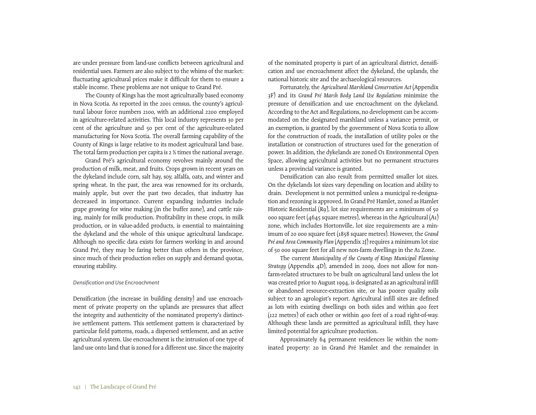are under pressure from land-use conflicts between agricultural and residential uses. Farmers are also subject to the whims of the market: fluctuating agricultural prices make it difficult for them to ensure a stable income. These problems are not unique to Grand Pré.

The County of Kings has the most agriculturally based economy in Nova Scotia. As reported in the 2001 census, the county's agricultural labour force numbers 2100, with an additional 2200 employed in agriculture-related activities. This local industry represents 30 per cent of the agriculture and 50 per cent of the agriculture-related manufacturing for Nova Scotia. The overall farming capability of the County of Kings is large relative to its modest agricultural land base. The total farm production per capita is 2 ½ times the national average.

Grand Pré's agricultural economy revolves mainly around the production of milk, meat, and fruits. Crops grown in recent years on the dykeland include corn, salt hay, soy, alfalfa, oats, and winter and spring wheat. In the past, the area was renowned for its orchards, mainly apple, but over the past two decades, that industry has decreased in importance. Current expanding industries include grape growing for wine making (in the buffer zone), and cattle raising, mainly for milk production. Profitability in these crops, in milk production, or in value-added products, is essential to maintaining the dykeland and the whole of this unique agricultural landscape. Although no specific data exists for farmers working in and around Grand Pré, they may be faring better than others in the province, since much of their production relies on supply and demand quotas, ensuring stability.

#### *Densification and Use Encroachment*

Densification (the increase in building density) and use encroachment of private property on the uplands are pressures that affect the integrity and authenticity of the nominated property's distinctive settlement pattern. This settlement pattern is characterized by particular field patterns, roads, a dispersed settlement, and an active agricultural system. Use encroachment is the intrusion of one type of land use onto land that is zoned for a different use. Since the majority

of the nominated property is part of an agricultural district, densification and use encroachment affect the dykeland, the uplands, the national historic site and the archaeological resources.

Fortunately, the *Agricultural Marshland Conservation Act* (Appendix 3F) and its *Grand Pré Marsh Body Land Use Regulations* minimize the pressure of densification and use encroachment on the dykeland. According to the Act and Regulations, no development can be accommodated on the designated marshland unless a variance permit, or an exemption, is granted by the government of Nova Scotia to allow for the construction of roads, the installation of utility poles or the installation or construction of structures used for the generation of power. In addition, the dykelands are zoned O1 Environmental Open Space, allowing agricultural activities but no permanent structures unless a provincial variance is granted.

Densification can also result from permitted smaller lot sizes. On the dykelands lot sizes vary depending on location and ability to drain. Development is not permitted unless a municipal re-designation and rezoning is approved. In Grand Pré Hamlet, zoned as Hamlet Historic Residential (R9), lot size requirements are a minimum of 50 000 square feet (4645 square metres), whereas in the Agricultural  $(A<sub>1</sub>)$ zone, which includes Hortonville, lot size requirements are a minimum of 20 000 square feet (1858 square metres). However, the *Grand Pré and Area Community Plan* (Appendix 2J) requires a minimum lot size of 50 000 square feet for all new non-farm dwellings in the A1 Zone.

The current *Municipality of the County of Kings Municipal Planning Strategy* (Appendix 4D), amended in 2009, does not allow for nonfarm-related structures to be built on agricultural land unless the lot was created prior to August 1994, is designated as an agricultural infill or abandoned resource-extraction site, or has poorer quality soils subject to an agrologist's report. Agricultural infill sites are defined as lots with existing dwellings on both sides and within 400 feet (122 metres) of each other or within 400 feet of a road right-of-way. Although these lands are permitted as agricultural infill, they have limited potential for agriculture production.

Approximately 64 permanent residences lie within the nominated property: 20 in Grand Pré Hamlet and the remainder in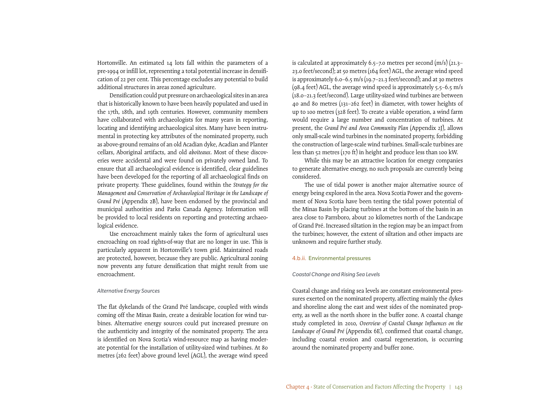Hortonville. An estimated 14 lots fall within the parameters of a pre-1994 or infill lot, representing a total potential increase in densification of 22 per cent. This percentage excludes any potential to build additional structures in areas zoned agriculture.

Densification could put pressure on archaeological sites in an area that is historically known to have been heavily populated and used in the 17th, 18th, and 19th centuries. However, community members have collaborated with archaeologists for many years in reporting, locating and identifying archaeological sites. Many have been instrumental in protecting key attributes of the nominated property, such as above-ground remains of an old Acadian dyke, Acadian and Planter cellars, Aboriginal artifacts, and old *aboiteaux*. Most of these discoveries were accidental and were found on privately owned land. To ensure that all archaeological evidence is identified, clear guidelines have been developed for the reporting of all archaeological finds on private property. These guidelines, found within the *Strategy for the Management and Conservation of Archaeological Heritage in the Landscape of Grand Pré* (Appendix 2B), have been endorsed by the provincial and municipal authorities and Parks Canada Agency. Information will be provided to local residents on reporting and protecting archaeological evidence.

Use encroachment mainly takes the form of agricultural uses encroaching on road rights-of-way that are no longer in use. This is particularly apparent in Hortonville's town grid. Maintained roads are protected, however, because they are public. Agricultural zoning now prevents any future densification that might result from use encroachment.

#### *Alternative Energy Sources*

The flat dykelands of the Grand Pré landscape, coupled with winds coming off the Minas Basin, create a desirable location for wind turbines. Alternative energy sources could put increased pressure on the authenticity and integrity of the nominated property. The area is identified on Nova Scotia's wind-resource map as having moderate potential for the installation of utility-sized wind turbines. At 80 metres (262 feet) above ground level (AGL), the average wind speed

is calculated at approximately 6.5–7.0 metres per second  $(m/s)(21.3–$ 23.0 feet/second); at 50 metres (164 feet) AGL, the average wind speed is approximately 6.0–6.5 m/s (19.7–21.3 feet/second); and at 30 metres  $(98.4 \text{ feet})$  AGL, the average wind speed is approximately 5.5–6.5 m/s (18.0–21.3 feet/second). Large utility-sized wind turbines are between 40 and 80 metres (131–262 feet) in diameter, with tower heights of up to 100 metres (328 feet). To create a viable operation, a wind farm would require a large number and concentration of turbines. At present, the *Grand Pré and Area Community Plan* (Appendix 2J), allows only small-scale wind turbines in the nominated property, forbidding the construction of large-scale wind turbines. Small-scale turbines are less than 52 metres (170 ft) in height and produce less than 100 kW.

While this may be an attractive location for energy companies to generate alternative energy, no such proposals are currently being considered.

The use of tidal power is another major alternative source of energy being explored in the area. Nova Scotia Power and the government of Nova Scotia have been testing the tidal power potential of the Minas Basin by placing turbines at the bottom of the basin in an area close to Parrsboro, about 20 kilometres north of the Landscape of Grand Pré. Increased siltation in the region may be an impact from the turbines; however, the extent of siltation and other impacts are unknown and require further study.

#### 4.b.ii. Environmental pressures

#### *Coastal Change and Rising Sea Levels*

Coastal change and rising sea levels are constant environmental pressures exerted on the nominated property, affecting mainly the dykes and shoreline along the east and west sides of the nominated property, as well as the north shore in the buffer zone. A coastal change study completed in 2010, *Overview of Coastal Change Influences on the Landscape of Grand Pré* (Appendix 6E), confirmed that coastal change, including coastal erosion and coastal regeneration, is occurring around the nominated property and buffer zone.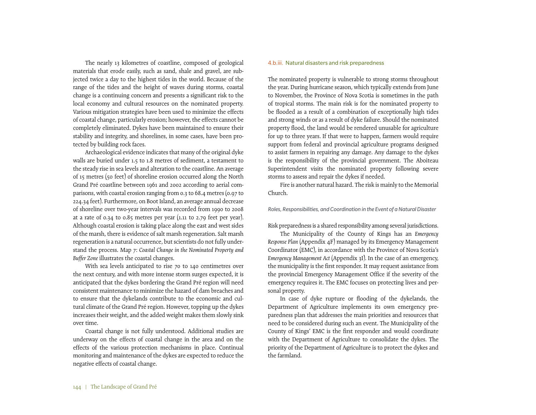The nearly 13 kilometres of coastline, composed of geological materials that erode easily, such as sand, shale and gravel, are subjected twice a day to the highest tides in the world. Because of the range of the tides and the height of waves during storms, coastal change is a continuing concern and presents a significant risk to the local economy and cultural resources on the nominated property. Various mitigation strategies have been used to minimize the effects of coastal change, particularly erosion; however, the effects cannot be completely eliminated. Dykes have been maintained to ensure their stability and integrity, and shorelines, in some cases, have been protected by building rock faces.

Archaeological evidence indicates that many of the original dyke walls are buried under 1.5 to 1.8 metres of sediment, a testament to the steady rise in sea levels and alteration to the coastline. An average of 15 metres (50 feet) of shoreline erosion occurred along the North Grand Pré coastline between 1961 and 2002 according to aerial comparisons, with coastal erosion ranging from 0.3 to 68.4 metres (0.97 to 224.34 feet). Furthermore, on Boot Island, an average annual decrease of shoreline over two-year intervals was recorded from 1990 to 2008 at a rate of 0.34 to 0.85 metres per year  $(1.11 \text{ to } 2.79 \text{ feet per year})$ . Although coastal erosion is taking place along the east and west sides of the marsh, there is evidence of salt marsh regeneration. Salt marsh regeneration is a natural occurrence, but scientists do not fully understand the process. Map 7: *Coastal Change in the Nominated Property and Buffer Zone* illustrates the coastal changes.

With sea levels anticipated to rise 70 to 140 centimetres over the next century, and with more intense storm surges expected, it is anticipated that the dykes bordering the Grand Pré region will need consistent maintenance to minimize the hazard of dam breaches and to ensure that the dykelands contribute to the economic and cultural climate of the Grand Pré region. However, topping up the dykes increases their weight, and the added weight makes them slowly sink over time.

Coastal change is not fully understood. Additional studies are underway on the effects of coastal change in the area and on the effects of the various protection mechanisms in place. Continual monitoring and maintenance of the dykes are expected to reduce the negative effects of coastal change.

## 4.b.iii. Natural disasters and risk preparedness

The nominated property is vulnerable to strong storms throughout the year. During hurricane season, which typically extends from June to November, the Province of Nova Scotia is sometimes in the path of tropical storms. The main risk is for the nominated property to be flooded as a result of a combination of exceptionally high tides and strong winds or as a result of dyke failure. Should the nominated property flood, the land would be rendered unusable for agriculture for up to three years. If that were to happen, farmers would require support from federal and provincial agriculture programs designed to assist farmers in repairing any damage. Any damage to the dykes is the responsibility of the provincial government. The Aboiteau Superintendent visits the nominated property following severe storms to assess and repair the dykes if needed.

Fire is another natural hazard. The risk is mainly to the Memorial Church.

*Roles, Responsibilities, and Coordination in the Event of a Natural Disaster*

Risk preparedness is a shared responsibility among several jurisdictions.

The Municipality of the County of Kings has an *Emergency Response Plan* (Appendix 4F) managed by its Emergency Management Coordinator (EMC), in accordance with the Province of Nova Scotia's *Emergency Management Act* (Appendix 3I). In the case of an emergency, the municipality is the first responder. It may request assistance from the provincial Emergency Management Office if the severity of the emergency requires it. The EMC focuses on protecting lives and personal property.

In case of dyke rupture or flooding of the dykelands, the Department of Agriculture implements its own emergency preparedness plan that addresses the main priorities and resources that need to be considered during such an event. The Municipality of the County of Kings' EMC is the first responder and would coordinate with the Department of Agriculture to consolidate the dykes. The priority of the Department of Agriculture is to protect the dykes and the farmland.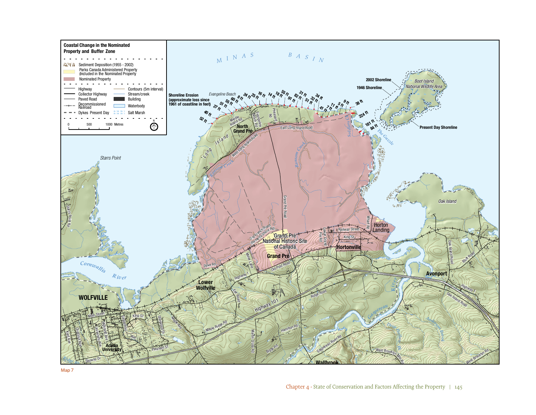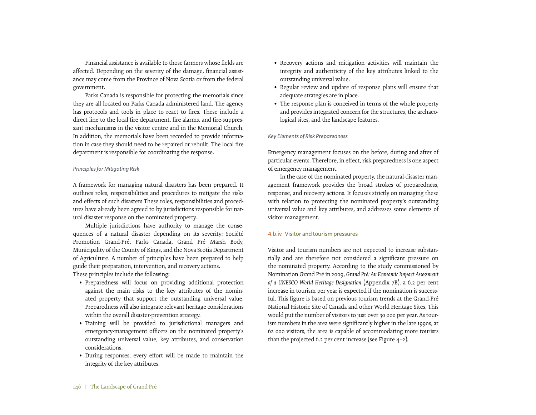Financial assistance is available to those farmers whose fields are affected. Depending on the severity of the damage, financial assistance may come from the Province of Nova Scotia or from the federal government.

Parks Canada is responsible for protecting the memorials since they are all located on Parks Canada administered land. The agency has protocols and tools in place to react to fires. These include a direct line to the local fire department, fire alarms, and fire-suppressant mechanisms in the visitor centre and in the Memorial Church. In addition, the memorials have been recorded to provide information in case they should need to be repaired or rebuilt. The local fire department is responsible for coordinating the response.

#### *Principles for Mitigating Risk*

A framework for managing natural disasters has been prepared. It outlines roles, responsibilities and procedures to mitigate the risks and effects of such disasters These roles, responsibilities and procedures have already been agreed to by jurisdictions responsible for natural disaster response on the nominated property.

Multiple jurisdictions have authority to manage the consequences of a natural disaster depending on its severity: Société Promotion Grand-Pré, Parks Canada, Grand Pré Marsh Body, Municipality of the County of Kings, and the Nova Scotia Department of Agriculture. A number of principles have been prepared to help guide their preparation, intervention, and recovery actions. These principles include the following:

- Preparedness will focus on providing additional protection against the main risks to the key attributes of the nominated property that support the outstanding universal value. Preparedness will also integrate relevant heritage considerations within the overall disaster-prevention strategy.
- Training will be provided to jurisdictional managers and emergency-management officers on the nominated property's outstanding universal value, key attributes, and conservation considerations.
- During responses, every effort will be made to maintain the integrity of the key attributes.
- Recovery actions and mitigation activities will maintain the integrity and authenticity of the key attributes linked to the outstanding universal value.
- Regular review and update of response plans will ensure that adequate strategies are in place.
- The response plan is conceived in terms of the whole property and provides integrated concern for the structures, the archaeological sites, and the landscape features.

#### *Key Elements of Risk Preparedness*

Emergency management focuses on the before, during and after of particular events. Therefore, in effect, risk preparedness is one aspect of emergency management.

In the case of the nominated property, the natural-disaster management framework provides the broad strokes of preparedness, response, and recovery actions. It focuses strictly on managing these with relation to protecting the nominated property's outstanding universal value and key attributes, and addresses some elements of visitor management.

#### 4.b.iv. Visitor and tourism pressures

Visitor and tourism numbers are not expected to increase substantially and are therefore not considered a significant pressure on the nominated property. According to the study commissioned by Nomination Grand Pré in 2009, *Grand Pré: An Economic Impact Assessment of a UNESCO World Heritage Designation* (Appendix 7B), a 6.2 per cent increase in tourism per year is expected if the nomination is successful. This figure is based on previous tourism trends at the Grand-Pré National Historic Site of Canada and other World Heritage Sites. This would put the number of visitors to just over 30 000 per year. As tourism numbers in the area were significantly higher in the late 1990s, at 62 000 visitors, the area is capable of accommodating more tourists than the projected 6.2 per cent increase (see Figure  $4-2$ ).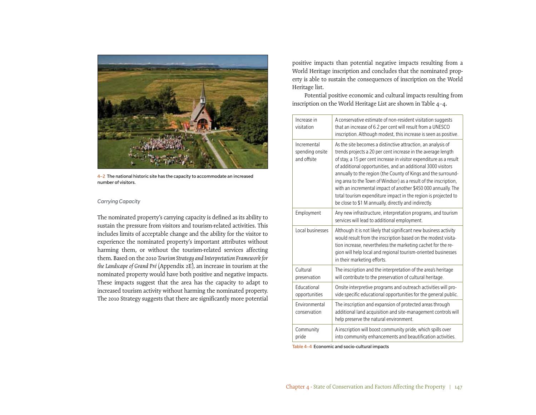

4–2 The national historic site has the capacity to accommodate an increased number of visitors.

#### *Carrying Capacity*

The nominated property's carrying capacity is defined as its ability to sustain the pressure from visitors and tourism-related activities. This includes limits of acceptable change and the ability for the visitor to experience the nominated property's important attributes without harming them, or without the tourism-related services affecting them. Based on the 2010 *Tourism Strategy and Interpretation Framework for the Landscape of Grand Pré* (Appendix 2E), an increase in tourism at the nominated property would have both positive and negative impacts. These impacts suggest that the area has the capacity to adapt to increased tourism activity without harming the nominated property. The 2010 Strategy suggests that there are significantly more potential

positive impacts than potential negative impacts resulting from a World Heritage inscription and concludes that the nominated property is able to sustain the consequences of inscription on the World Heritage list.

Potential positive economic and cultural impacts resulting from inscription on the World Heritage List are shown in Table 4–4.

| Increase in<br>visitation                     | A conservative estimate of non-resident visitation suggests<br>that an increase of 6.2 per cent will result from a UNESCO<br>inscription. Although modest, this increase is seen as positive.                                                                                                                                                                                                                                                                                                                                                                                                      |
|-----------------------------------------------|----------------------------------------------------------------------------------------------------------------------------------------------------------------------------------------------------------------------------------------------------------------------------------------------------------------------------------------------------------------------------------------------------------------------------------------------------------------------------------------------------------------------------------------------------------------------------------------------------|
| Incremental<br>spending onsite<br>and offsite | As the site becomes a distinctive attraction, an analysis of<br>trends projects a 20 per cent increase in the average length<br>of stay, a 15 per cent increase in visitor expenditure as a result<br>of additional opportunities, and an additional 3000 visitors<br>annually to the region (the County of Kings and the surround-<br>ing area to the Town of Windsor) as a result of the inscription,<br>with an incremental impact of another \$450 000 annually. The<br>total tourism expenditure impact in the region is projected to<br>be close to \$1 M annually, directly and indirectly. |
| Employment                                    | Any new infrastructure, interpretation programs, and tourism<br>services will lead to additional employment.                                                                                                                                                                                                                                                                                                                                                                                                                                                                                       |
| Local businesses                              | Although it is not likely that significant new business activity<br>would result from the inscription based on the modest visita-<br>tion increase, nevertheless the marketing cachet for the re-<br>gion will help local and regional tourism-oriented businesses<br>in their marketing efforts.                                                                                                                                                                                                                                                                                                  |
| Cultural<br>preservation                      | The inscription and the interpretation of the area's heritage<br>will contribute to the preservation of cultural heritage.                                                                                                                                                                                                                                                                                                                                                                                                                                                                         |
| Educational<br>opportunities                  | Onsite interpretive programs and outreach activities will pro-<br>vide specific educational opportunities for the general public.                                                                                                                                                                                                                                                                                                                                                                                                                                                                  |
| Environmental<br>conservation                 | The inscription and expansion of protected areas through<br>additional land acquisition and site-management controls will<br>help preserve the natural environment.                                                                                                                                                                                                                                                                                                                                                                                                                                |
| Community<br>pride                            | A inscription will boost community pride, which spills over<br>into community enhancements and beautification activities.                                                                                                                                                                                                                                                                                                                                                                                                                                                                          |

Table 4–4 Economic and socio-cultural impacts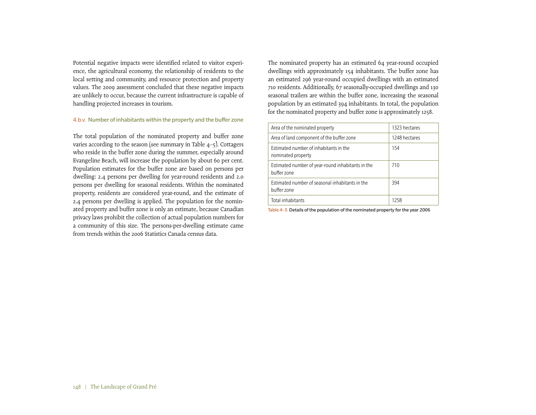Potential negative impacts were identified related to visitor experience, the agricultural economy, the relationship of residents to the local setting and community, and resource protection and property values. The 2009 assessment concluded that these negative impacts are unlikely to occur, because the current infrastructure is capable of handling projected increases in tourism.

# 4.b.v. Number of inhabitants within the property and the buffer zone

The total population of the nominated property and buffer zone varies according to the season (see summary in Table 4–5). Cottagers who reside in the buffer zone during the summer, especially around Evangeline Beach, will increase the population by about 60 per cent. Population estimates for the buffer zone are based on persons per dwelling: 2.4 persons per dwelling for year-round residents and 2.0 persons per dwelling for seasonal residents. Within the nominated property, residents are considered year-round, and the estimate of 2.4 persons per dwelling is applied. The population for the nominated property and buffer zone is only an estimate, because Canadian privacy laws prohibit the collection of actual population numbers for a community of this size. The persons-per-dwelling estimate came from trends within the 2006 Statistics Canada census data.

The nominated property has an estimated 64 year-round occupied dwellings with approximately 154 inhabitants. The buffer zone has an estimated 296 year-round occupied dwellings with an estimated 710 residents. Additionally, 67 seasonally-occupied dwellings and 130 seasonal trailers are within the buffer zone, increasing the seasonal population by an estimated 394 inhabitants. In total, the population for the nominated property and buffer zone is approximately 1258.

| Area of the nominated property                                   | 1323 hectares |
|------------------------------------------------------------------|---------------|
| Area of land component of the buffer zone                        | 1248 hectares |
| Estimated number of inhabitants in the<br>nominated property     | 154           |
| Estimated number of year-round inhabitants in the<br>buffer zone | 710           |
| Estimated number of seasonal inhabitants in the<br>buffer zone   | 394           |
| Total inhabitants                                                | 1258          |

Table 4–5 Details of the population of the nominated property for the year 2006